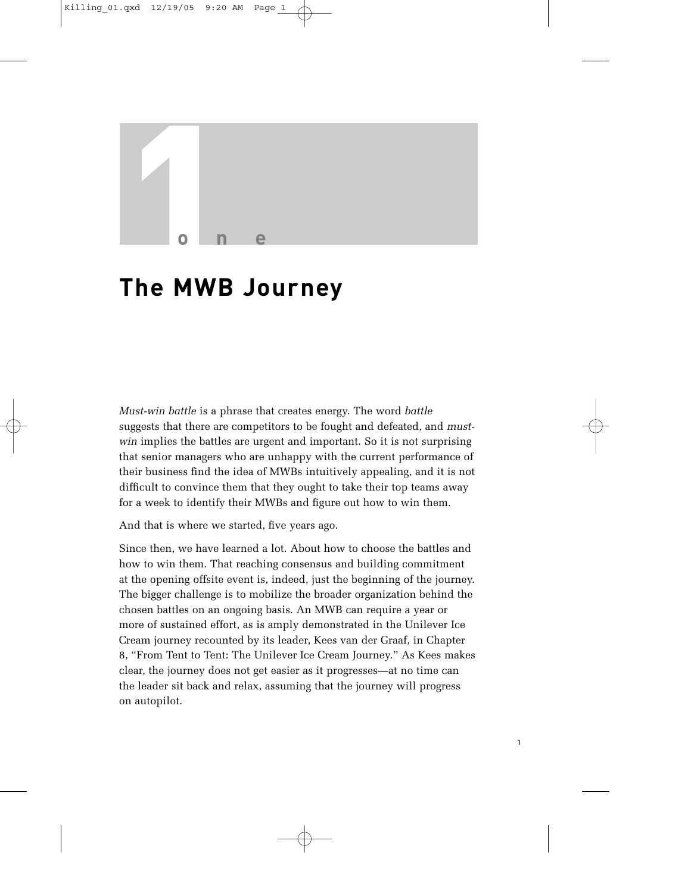

# **The MWB Journey**

*Must-win battle* is a phrase that creates energy. The word *battle* suggests that there are competitors to be fought and defeated, and *mustwin* implies the battles are urgent and important. So it is not surprising that senior managers who are unhappy with the current performance of their business find the idea of MWBs intuitively appealing, and it is not difficult to convince them that they ought to take their top teams away for a week to identify their MWBs and figure out how to win them.

And that is where we started, five years ago.

Since then, we have learned a lot. About how to choose the battles and how to win them. That reaching consensus and building commitment at the opening offsite event is, indeed, just the beginning of the journey. The bigger challenge is to mobilize the broader organization behind the chosen battles on an ongoing basis. An MWB can require a year or more of sustained effort, as is amply demonstrated in the Unilever Ice Cream journey recounted by its leader, Kees van der Graaf, in Chapter 8, "From Tent to Tent: The Unilever Ice Cream Journey." As Kees makes clear, the journey does not get easier as it progresses—at no time can the leader sit back and relax, assuming that the journey will progress on autopilot.

1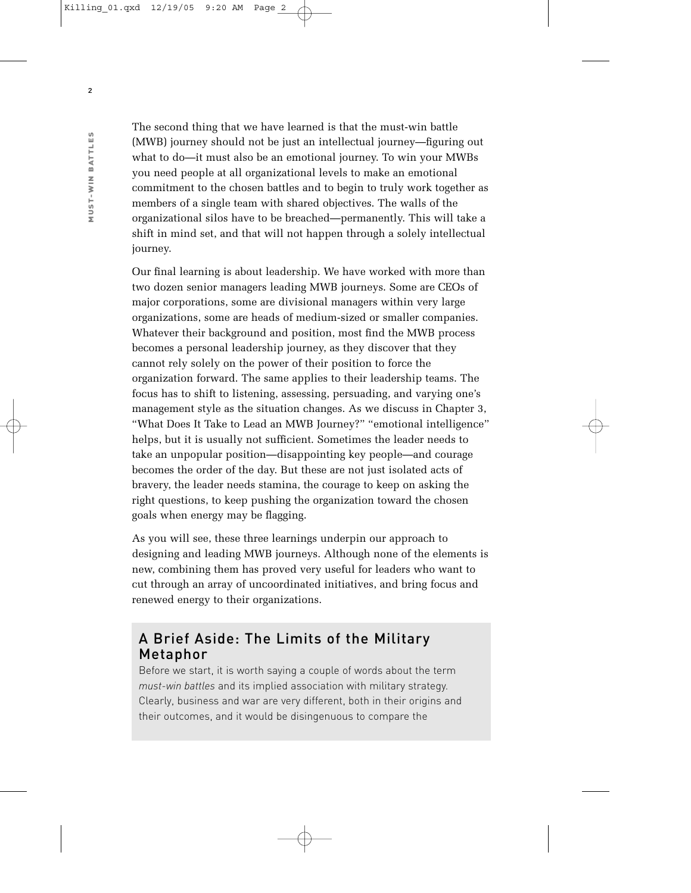The second thing that we have learned is that the must-win battle (MWB) journey should not be just an intellectual journey—figuring out what to do—it must also be an emotional journey. To win your MWBs you need people at all organizational levels to make an emotional commitment to the chosen battles and to begin to truly work together as members of a single team with shared objectives. The walls of the organizational silos have to be breached—permanently. This will take a shift in mind set, and that will not happen through a solely intellectual journey.

Our final learning is about leadership. We have worked with more than two dozen senior managers leading MWB journeys. Some are CEOs of major corporations, some are divisional managers within very large organizations, some are heads of medium-sized or smaller companies. Whatever their background and position, most find the MWB process becomes a personal leadership journey, as they discover that they cannot rely solely on the power of their position to force the organization forward. The same applies to their leadership teams. The focus has to shift to listening, assessing, persuading, and varying one's management style as the situation changes. As we discuss in Chapter 3, "What Does It Take to Lead an MWB Journey?" "emotional intelligence" helps, but it is usually not sufficient. Sometimes the leader needs to take an unpopular position—disappointing key people—and courage becomes the order of the day. But these are not just isolated acts of bravery, the leader needs stamina, the courage to keep on asking the right questions, to keep pushing the organization toward the chosen goals when energy may be flagging.

As you will see, these three learnings underpin our approach to designing and leading MWB journeys. Although none of the elements is new, combining them has proved very useful for leaders who want to cut through an array of uncoordinated initiatives, and bring focus and renewed energy to their organizations.

## A Brief Aside: The Limits of the Military Metaphor

Before we start, it is worth saying a couple of words about the term *must-win battles* and its implied association with military strategy. Clearly, business and war are very different, both in their origins and their outcomes, and it would be disingenuous to compare the

 $\overline{2}$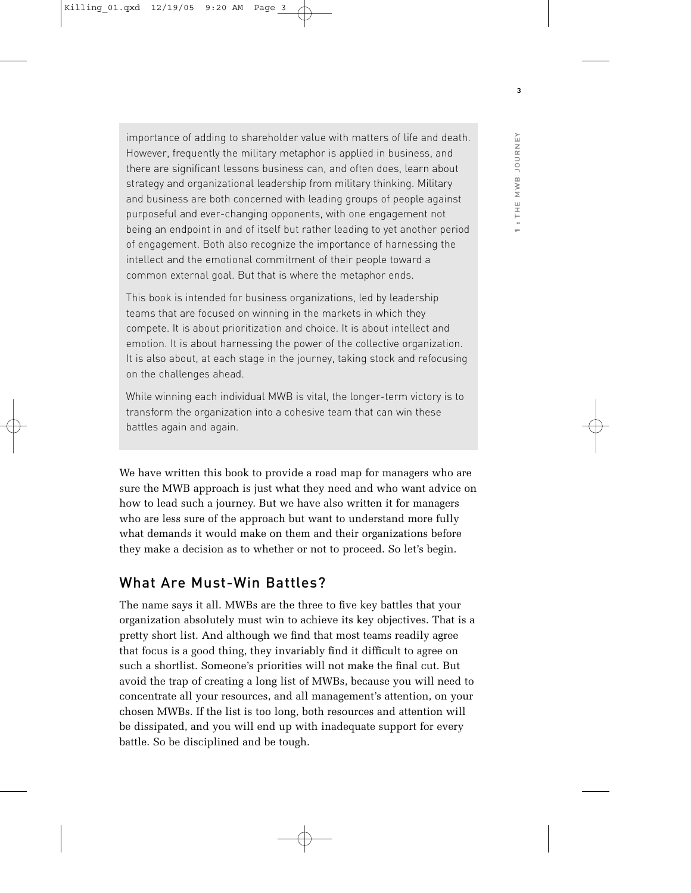importance of adding to shareholder value with matters of life and death. However, frequently the military metaphor is applied in business, and there are significant lessons business can, and often does, learn about strategy and organizational leadership from military thinking. Military and business are both concerned with leading groups of people against purposeful and ever-changing opponents, with one engagement not being an endpoint in and of itself but rather leading to yet another period of engagement. Both also recognize the importance of harnessing the intellect and the emotional commitment of their people toward a common external goal. But that is where the metaphor ends.

This book is intended for business organizations, led by leadership teams that are focused on winning in the markets in which they compete. It is about prioritization and choice. It is about intellect and emotion. It is about harnessing the power of the collective organization. It is also about, at each stage in the journey, taking stock and refocusing on the challenges ahead.

While winning each individual MWB is vital, the longer-term victory is to transform the organization into a cohesive team that can win these battles again and again.

We have written this book to provide a road map for managers who are sure the MWB approach is just what they need and who want advice on how to lead such a journey. But we have also written it for managers who are less sure of the approach but want to understand more fully what demands it would make on them and their organizations before they make a decision as to whether or not to proceed. So let's begin.

#### What Are Must-Win Battles?

The name says it all. MWBs are the three to five key battles that your organization absolutely must win to achieve its key objectives. That is a pretty short list. And although we find that most teams readily agree that focus is a good thing, they invariably find it difficult to agree on such a shortlist. Someone's priorities will not make the final cut. But avoid the trap of creating a long list of MWBs, because you will need to concentrate all your resources, and all management's attention, on your chosen MWBs. If the list is too long, both resources and attention will be dissipated, and you will end up with inadequate support for every battle. So be disciplined and be tough.

 $\overline{3}$ 

ITHE MWB JOURNEY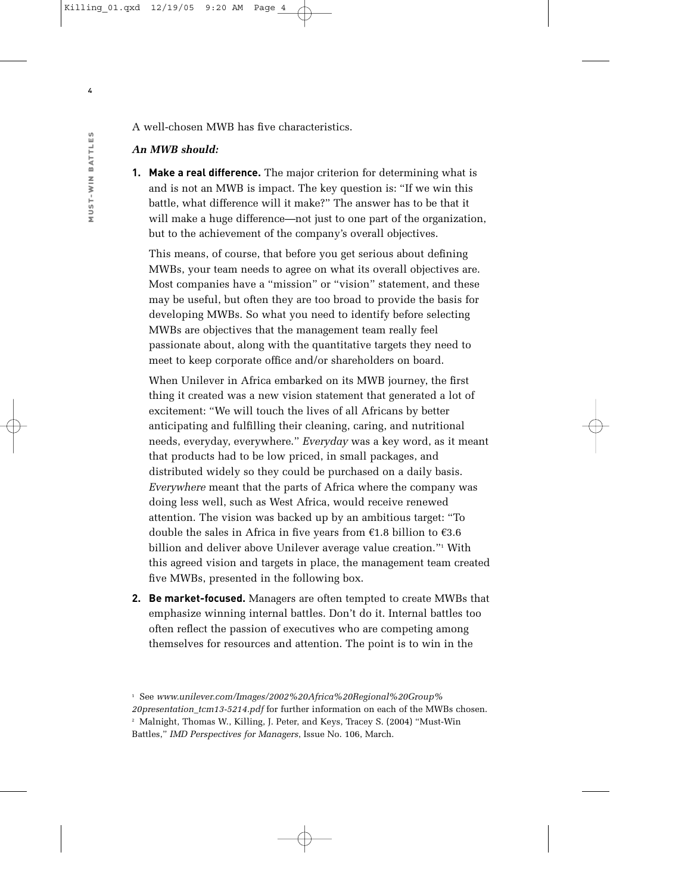A well-chosen MWB has five characteristics.

#### *An MWB should:*

**1. Make a real difference.** The major criterion for determining what is and is not an MWB is impact. The key question is: "If we win this battle, what difference will it make?" The answer has to be that it will make a huge difference—not just to one part of the organization, but to the achievement of the company's overall objectives.

This means, of course, that before you get serious about defining MWBs, your team needs to agree on what its overall objectives are. Most companies have a "mission" or "vision" statement, and these may be useful, but often they are too broad to provide the basis for developing MWBs. So what you need to identify before selecting MWBs are objectives that the management team really feel passionate about, along with the quantitative targets they need to meet to keep corporate office and/or shareholders on board.

When Unilever in Africa embarked on its MWB journey, the first thing it created was a new vision statement that generated a lot of excitement: "We will touch the lives of all Africans by better anticipating and fulfilling their cleaning, caring, and nutritional needs, everyday, everywhere." *Everyday* was a key word, as it meant that products had to be low priced, in small packages, and distributed widely so they could be purchased on a daily basis. *Everywhere* meant that the parts of Africa where the company was doing less well, such as West Africa, would receive renewed attention. The vision was backed up by an ambitious target: "To double the sales in Africa in five years from  $£1.8$  billion to  $£3.6$ billion and deliver above Unilever average value creation."<sup>1</sup> With this agreed vision and targets in place, the management team created five MWBs, presented in the following box.

**2. Be market-focused.** Managers are often tempted to create MWBs that emphasize winning internal battles. Don't do it. Internal battles too often reflect the passion of executives who are competing among themselves for resources and attention. The point is to win in the

<sup>1</sup> See *www.unilever.com/Images/2002%20Africa%20Regional%20Group% 20presentation\_tcm13-5214.pdf* for further information on each of the MWBs chosen. <sup>2</sup> Malnight, Thomas W., Killing, J. Peter, and Keys, Tracey S. (2004) "Must-Win Battles," *IMD Perspectives for Managers*, Issue No. 106, March.

4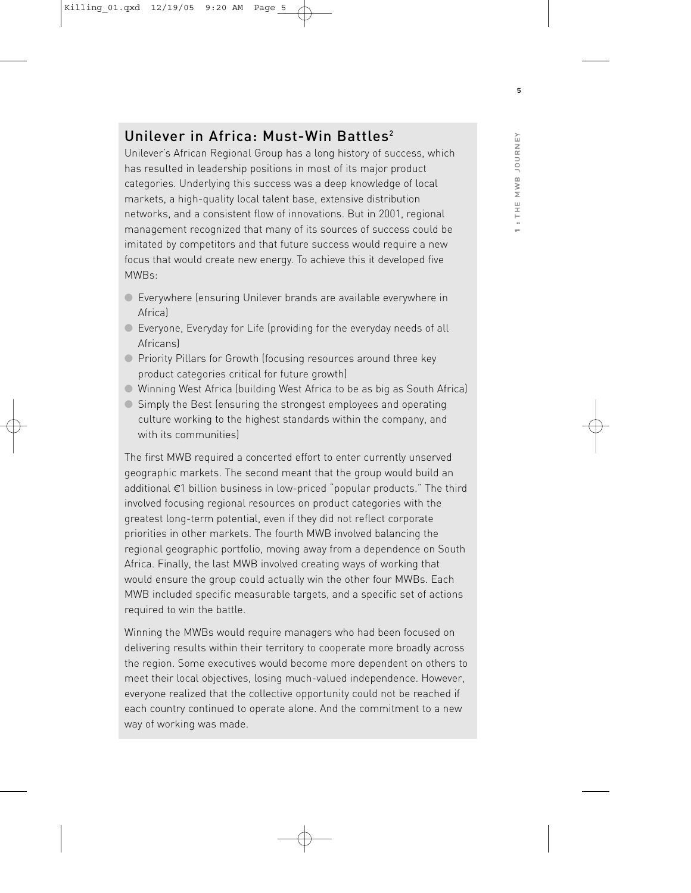Killing 01.qxd 12/19/05 9:20 AM Page 5

## Unilever in Africa: Must-Win Battles<sup>2</sup>

Unilever's African Regional Group has a long history of success, which has resulted in leadership positions in most of its major product categories. Underlying this success was a deep knowledge of local markets, a high-quality local talent base, extensive distribution networks, and a consistent flow of innovations. But in 2001, regional management recognized that many of its sources of success could be imitated by competitors and that future success would require a new focus that would create new energy. To achieve this it developed five MWBs:

- Everywhere (ensuring Unilever brands are available everywhere in Africa)
- Everyone, Everyday for Life (providing for the everyday needs of all Africans)
- Priority Pillars for Growth (focusing resources around three key product categories critical for future growth)
- Winning West Africa (building West Africa to be as big as South Africa)
- Simply the Best (ensuring the strongest employees and operating culture working to the highest standards within the company, and with its communities)

The first MWB required a concerted effort to enter currently unserved geographic markets. The second meant that the group would build an additional  $\epsilon$ 1 billion business in low-priced "popular products." The third involved focusing regional resources on product categories with the greatest long-term potential, even if they did not reflect corporate priorities in other markets. The fourth MWB involved balancing the regional geographic portfolio, moving away from a dependence on South Africa. Finally, the last MWB involved creating ways of working that would ensure the group could actually win the other four MWBs. Each MWB included specific measurable targets, and a specific set of actions required to win the battle.

Winning the MWBs would require managers who had been focused on delivering results within their territory to cooperate more broadly across the region. Some executives would become more dependent on others to meet their local objectives, losing much-valued independence. However, everyone realized that the collective opportunity could not be reached if each country continued to operate alone. And the commitment to a new way of working was made.

# 1 : THE MWB JOURNEY 5 **: THE MWB JOURNEY**

 $\overline{5}$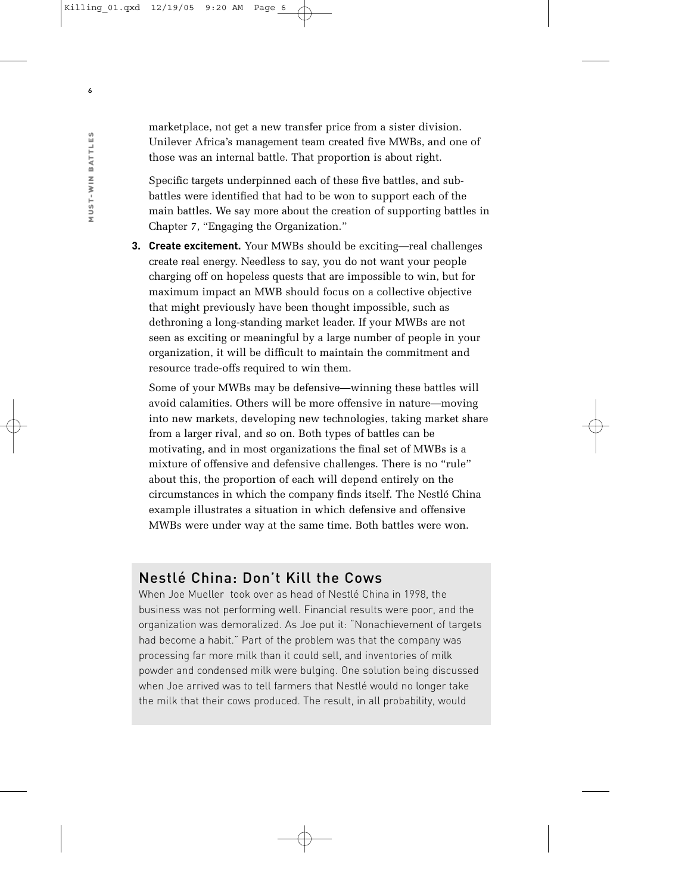marketplace, not get a new transfer price from a sister division. Unilever Africa's management team created five MWBs, and one of those was an internal battle. That proportion is about right.

Specific targets underpinned each of these five battles, and subbattles were identified that had to be won to support each of the main battles. We say more about the creation of supporting battles in Chapter 7, "Engaging the Organization."

**3. Create excitement.** Your MWBs should be exciting—real challenges create real energy. Needless to say, you do not want your people charging off on hopeless quests that are impossible to win, but for maximum impact an MWB should focus on a collective objective that might previously have been thought impossible, such as dethroning a long-standing market leader. If your MWBs are not seen as exciting or meaningful by a large number of people in your organization, it will be difficult to maintain the commitment and resource trade-offs required to win them.

Some of your MWBs may be defensive—winning these battles will avoid calamities. Others will be more offensive in nature—moving into new markets, developing new technologies, taking market share from a larger rival, and so on. Both types of battles can be motivating, and in most organizations the final set of MWBs is a mixture of offensive and defensive challenges. There is no "rule" about this, the proportion of each will depend entirely on the circumstances in which the company finds itself. The Nestlé China example illustrates a situation in which defensive and offensive MWBs were under way at the same time. Both battles were won.

## Nestlé China: Don't Kill the Cows

When Joe Mueller took over as head of Nestlé China in 1998, the business was not performing well. Financial results were poor, and the organization was demoralized. As Joe put it: "Nonachievement of targets had become a habit." Part of the problem was that the company was processing far more milk than it could sell, and inventories of milk powder and condensed milk were bulging. One solution being discussed when Joe arrived was to tell farmers that Nestlé would no longer take the milk that their cows produced. The result, in all probability, would

 $\overline{6}$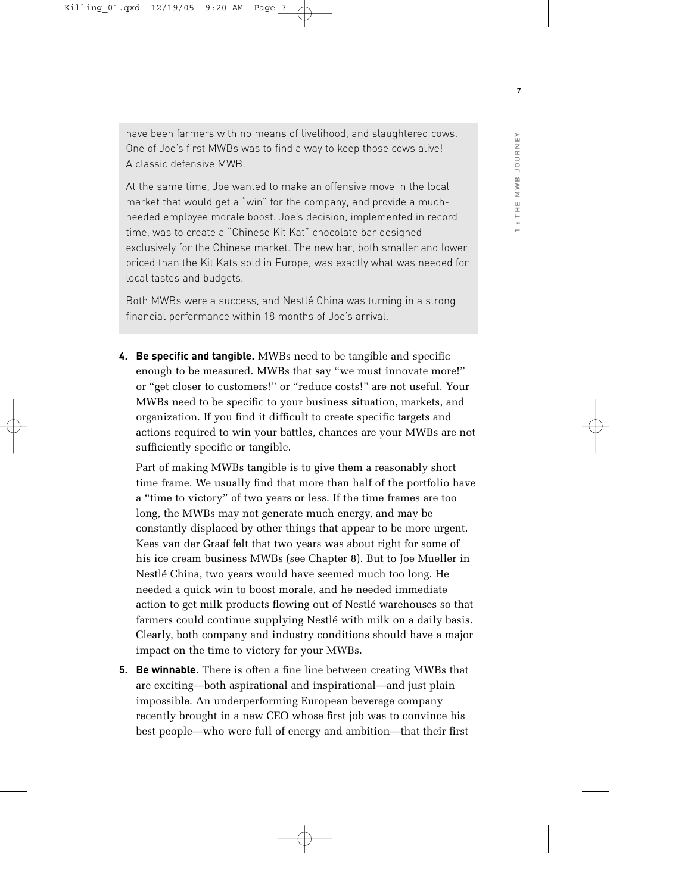have been farmers with no means of livelihood, and slaughtered cows. One of Joe's first MWBs was to find a way to keep those cows alive! A classic defensive MWB.

At the same time, Joe wanted to make an offensive move in the local market that would get a "win" for the company, and provide a muchneeded employee morale boost. Joe's decision, implemented in record time, was to create a "Chinese Kit Kat" chocolate bar designed exclusively for the Chinese market. The new bar, both smaller and lower priced than the Kit Kats sold in Europe, was exactly what was needed for local tastes and budgets.

Both MWBs were a success, and Nestlé China was turning in a strong financial performance within 18 months of Joe's arrival.

**4. Be specific and tangible.** MWBs need to be tangible and specific enough to be measured. MWBs that say "we must innovate more!" or "get closer to customers!" or "reduce costs!" are not useful. Your MWBs need to be specific to your business situation, markets, and organization. If you find it difficult to create specific targets and actions required to win your battles, chances are your MWBs are not sufficiently specific or tangible.

Part of making MWBs tangible is to give them a reasonably short time frame. We usually find that more than half of the portfolio have a "time to victory" of two years or less. If the time frames are too long, the MWBs may not generate much energy, and may be constantly displaced by other things that appear to be more urgent. Kees van der Graaf felt that two years was about right for some of his ice cream business MWBs (see Chapter 8). But to Joe Mueller in Nestlé China, two years would have seemed much too long. He needed a quick win to boost morale, and he needed immediate action to get milk products flowing out of Nestlé warehouses so that farmers could continue supplying Nestlé with milk on a daily basis. Clearly, both company and industry conditions should have a major impact on the time to victory for your MWBs.

**5. Be winnable.** There is often a fine line between creating MWBs that are exciting—both aspirational and inspirational—and just plain impossible. An underperforming European beverage company recently brought in a new CEO whose first job was to convince his best people—who were full of energy and ambition—that their first

1 : THE MWB JOURNEY 7 **: THE MWB JOURNEY** 

 $\overline{7}$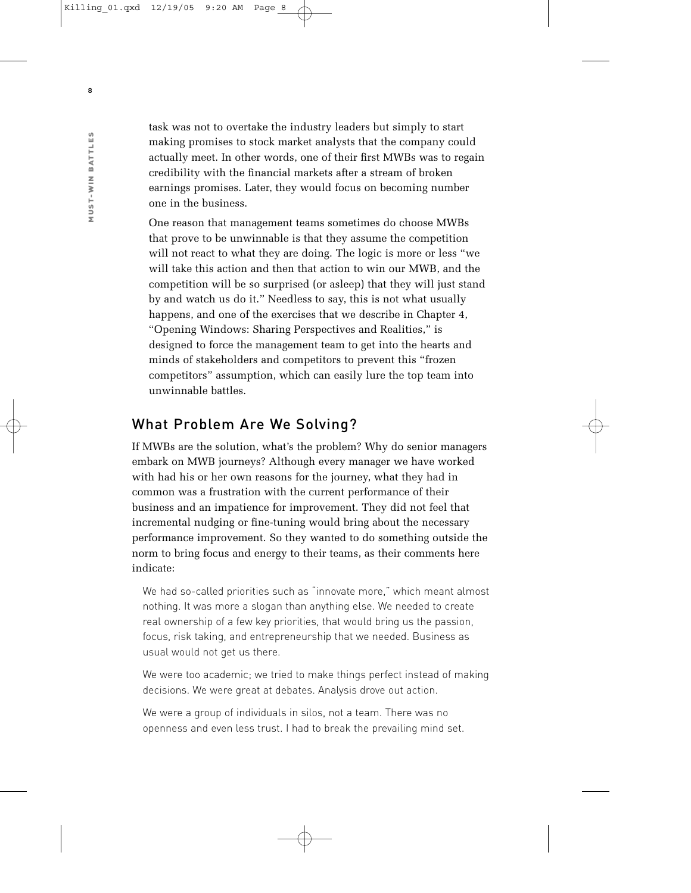task was not to overtake the industry leaders but simply to start making promises to stock market analysts that the company could actually meet. In other words, one of their first MWBs was to regain credibility with the financial markets after a stream of broken earnings promises. Later, they would focus on becoming number one in the business.

One reason that management teams sometimes do choose MWBs that prove to be unwinnable is that they assume the competition will not react to what they are doing. The logic is more or less "we will take this action and then that action to win our MWB, and the competition will be so surprised (or asleep) that they will just stand by and watch us do it." Needless to say, this is not what usually happens, and one of the exercises that we describe in Chapter 4, "Opening Windows: Sharing Perspectives and Realities," is designed to force the management team to get into the hearts and minds of stakeholders and competitors to prevent this "frozen competitors" assumption, which can easily lure the top team into unwinnable battles.

#### What Problem Are We Solving?

If MWBs are the solution, what's the problem? Why do senior managers embark on MWB journeys? Although every manager we have worked with had his or her own reasons for the journey, what they had in common was a frustration with the current performance of their business and an impatience for improvement. They did not feel that incremental nudging or fine-tuning would bring about the necessary performance improvement. So they wanted to do something outside the norm to bring focus and energy to their teams, as their comments here indicate:

We had so-called priorities such as "innovate more," which meant almost nothing. It was more a slogan than anything else. We needed to create real ownership of a few key priorities, that would bring us the passion, focus, risk taking, and entrepreneurship that we needed. Business as usual would not get us there.

We were too academic; we tried to make things perfect instead of making decisions. We were great at debates. Analysis drove out action.

We were a group of individuals in silos, not a team. There was no openness and even less trust. I had to break the prevailing mind set.

8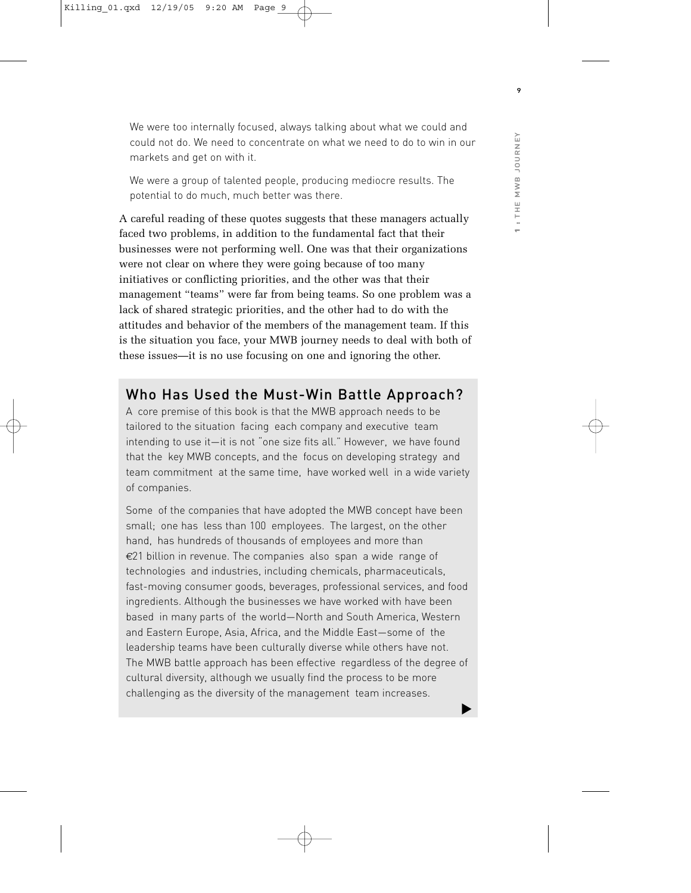1 : THE MWB JOURNEY 9 I : THE MWB JOURNEY

 $\mathbf{9}$ 

▼

We were too internally focused, always talking about what we could and could not do. We need to concentrate on what we need to do to win in our markets and get on with it.

We were a group of talented people, producing mediocre results. The potential to do much, much better was there.

A careful reading of these quotes suggests that these managers actually faced two problems, in addition to the fundamental fact that their businesses were not performing well. One was that their organizations were not clear on where they were going because of too many initiatives or conflicting priorities, and the other was that their management "teams" were far from being teams. So one problem was a lack of shared strategic priorities, and the other had to do with the attitudes and behavior of the members of the management team. If this is the situation you face, your MWB journey needs to deal with both of these issues—it is no use focusing on one and ignoring the other.

#### Who Has Used the Must-Win Battle Approach?

A core premise of this book is that the MWB approach needs to be tailored to the situation facing each company and executive team intending to use it—it is not "one size fits all." However, we have found that the key MWB concepts, and the focus on developing strategy and team commitment at the same time, have worked well in a wide variety of companies.

Some of the companies that have adopted the MWB concept have been small; one has less than 100 employees. The largest, on the other hand, has hundreds of thousands of employees and more than  $E$ 21 billion in revenue. The companies also span a wide range of technologies and industries, including chemicals, pharmaceuticals, fast-moving consumer goods, beverages, professional services, and food ingredients. Although the businesses we have worked with have been based in many parts of the world—North and South America, Western and Eastern Europe, Asia, Africa, and the Middle East—some of the leadership teams have been culturally diverse while others have not. The MWB battle approach has been effective regardless of the degree of cultural diversity, although we usually find the process to be more challenging as the diversity of the management team increases.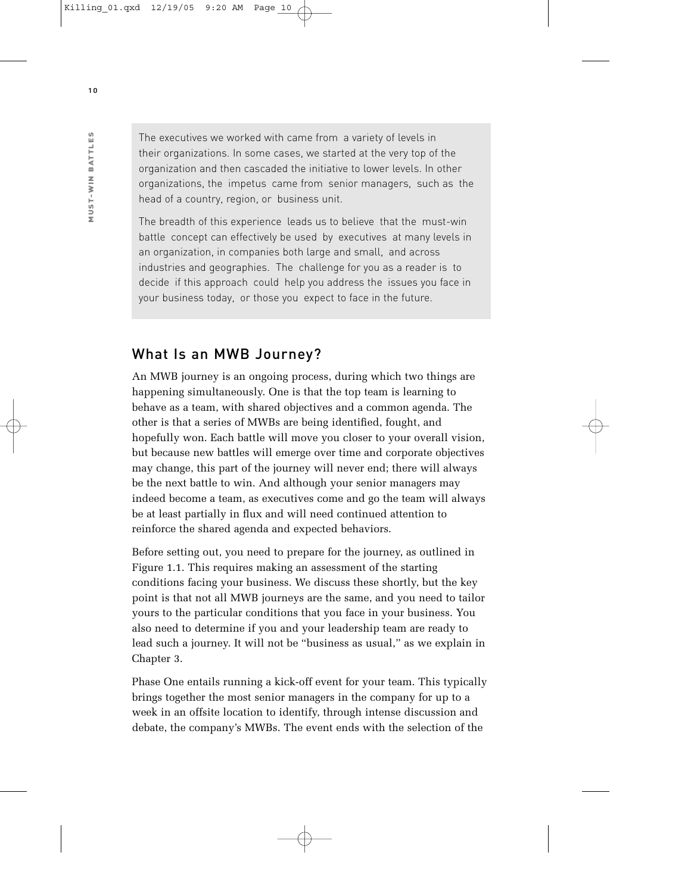The executives we worked with came from a variety of levels in their organizations. In some cases, we started at the very top of the organization and then cascaded the initiative to lower levels. In other organizations, the impetus came from senior managers, such as the head of a country, region, or business unit.

The breadth of this experience leads us to believe that the must-win battle concept can effectively be used by executives at many levels in an organization, in companies both large and small, and across industries and geographies. The challenge for you as a reader is to decide if this approach could help you address the issues you face in your business today, or those you expect to face in the future.

#### What Is an MWB Journey?

An MWB journey is an ongoing process, during which two things are happening simultaneously. One is that the top team is learning to behave as a team, with shared objectives and a common agenda. The other is that a series of MWBs are being identified, fought, and hopefully won. Each battle will move you closer to your overall vision, but because new battles will emerge over time and corporate objectives may change, this part of the journey will never end; there will always be the next battle to win. And although your senior managers may indeed become a team, as executives come and go the team will always be at least partially in flux and will need continued attention to reinforce the shared agenda and expected behaviors.

Before setting out, you need to prepare for the journey, as outlined in Figure 1.1. This requires making an assessment of the starting conditions facing your business. We discuss these shortly, but the key point is that not all MWB journeys are the same, and you need to tailor yours to the particular conditions that you face in your business. You also need to determine if you and your leadership team are ready to lead such a journey. It will not be "business as usual," as we explain in Chapter 3.

Phase One entails running a kick-off event for your team. This typically brings together the most senior managers in the company for up to a week in an offsite location to identify, through intense discussion and debate, the company's MWBs. The event ends with the selection of the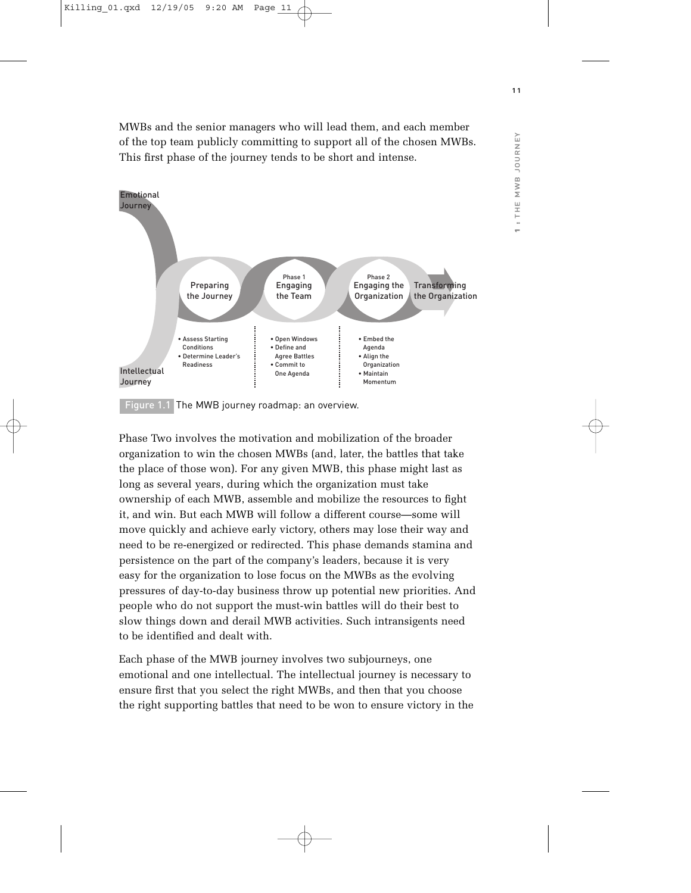



Figure 1.1 The MWB journey roadmap: an overview.

Phase Two involves the motivation and mobilization of the broader organization to win the chosen MWBs (and, later, the battles that take the place of those won). For any given MWB, this phase might last as long as several years, during which the organization must take ownership of each MWB, assemble and mobilize the resources to fight it, and win. But each MWB will follow a different course—some will move quickly and achieve early victory, others may lose their way and need to be re-energized or redirected. This phase demands stamina and persistence on the part of the company's leaders, because it is very easy for the organization to lose focus on the MWBs as the evolving pressures of day-to-day business throw up potential new priorities. And people who do not support the must-win battles will do their best to slow things down and derail MWB activities. Such intransigents need to be identified and dealt with.

Each phase of the MWB journey involves two subjourneys, one emotional and one intellectual. The intellectual journey is necessary to ensure first that you select the right MWBs, and then that you choose the right supporting battles that need to be won to ensure victory in the 11

1 : THE MWB JOURNEY

: THE MWB JOURNEY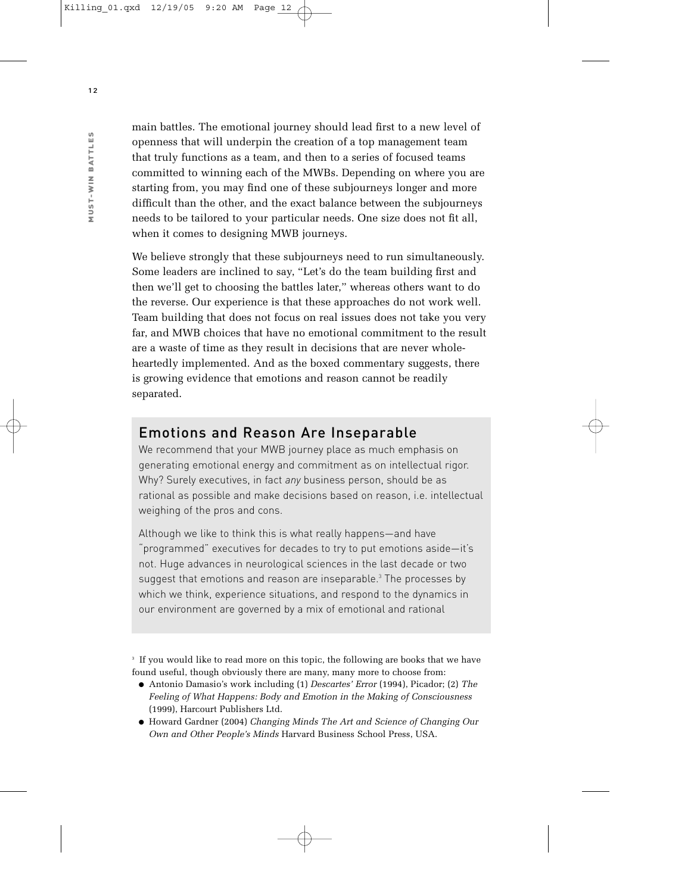main battles. The emotional journey should lead first to a new level of openness that will underpin the creation of a top management team that truly functions as a team, and then to a series of focused teams committed to winning each of the MWBs. Depending on where you are starting from, you may find one of these subjourneys longer and more difficult than the other, and the exact balance between the subjourneys needs to be tailored to your particular needs. One size does not fit all, when it comes to designing MWB journeys.

We believe strongly that these subjourneys need to run simultaneously. Some leaders are inclined to say, "Let's do the team building first and then we'll get to choosing the battles later," whereas others want to do the reverse. Our experience is that these approaches do not work well. Team building that does not focus on real issues does not take you very far, and MWB choices that have no emotional commitment to the result are a waste of time as they result in decisions that are never wholeheartedly implemented. And as the boxed commentary suggests, there is growing evidence that emotions and reason cannot be readily separated.

#### Emotions and Reason Are Inseparable

We recommend that your MWB journey place as much emphasis on generating emotional energy and commitment as on intellectual rigor. Why? Surely executives, in fact *any* business person, should be as rational as possible and make decisions based on reason, i.e. intellectual weighing of the pros and cons.

Although we like to think this is what really happens—and have "programmed" executives for decades to try to put emotions aside—it's not. Huge advances in neurological sciences in the last decade or two suggest that emotions and reason are inseparable.<sup>3</sup> The processes by which we think, experience situations, and respond to the dynamics in our environment are governed by a mix of emotional and rational

<sup>3</sup> If you would like to read more on this topic, the following are books that we have found useful, though obviously there are many, many more to choose from:

● Howard Gardner (2004) *Changing Minds The Art and Science of Changing Our Own and Other People's Minds* Harvard Business School Press, USA.

**MUST-WIN BATTLES** 

<sup>●</sup> Antonio Damasio's work including (1) *Descartes' Error* (1994), Picador; (2) *The Feeling of What Happens: Body and Emotion in the Making of Consciousness* (1999), Harcourt Publishers Ltd.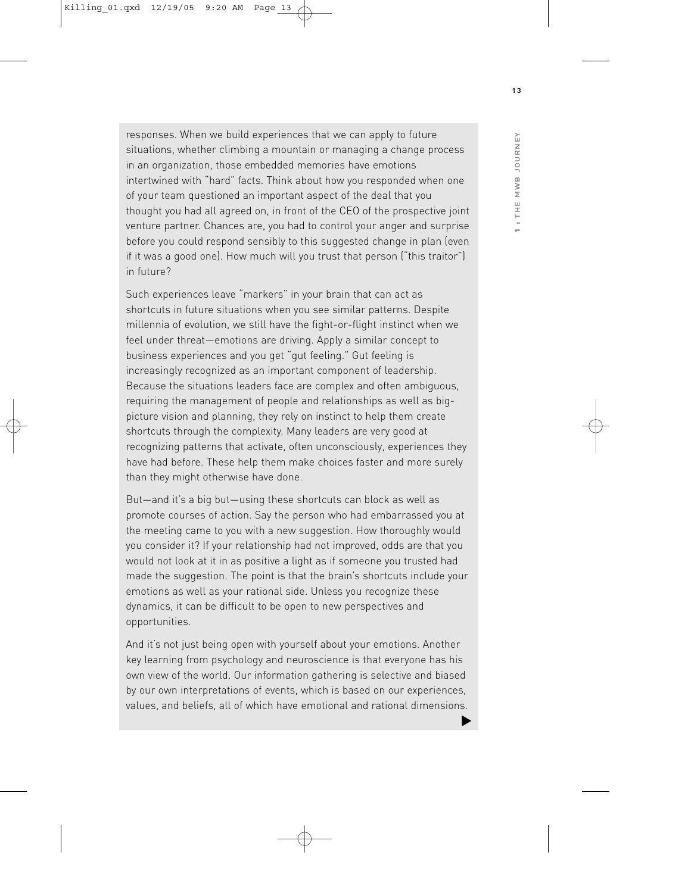responses. When we build experiences that we can apply to future situations, whether climbing a mountain or managing a change process in an organization, those embedded memories have emotions intertwined with "hard" facts. Think about how you responded when one of your team questioned an important aspect of the deal that you thought you had all agreed on, in front of the CEO of the prospective joint venture partner. Chances are, you had to control your anger and surprise before you could respond sensibly to this suggested change in plan (even if it was a good one). How much will you trust that person ("this traitor") in future?

Such experiences leave "markers" in your brain that can act as shortcuts in future situations when you see similar patterns. Despite millennia of evolution, we still have the fight-or-flight instinct when we feel under threat—emotions are driving. Apply a similar concept to business experiences and you get "gut feeling." Gut feeling is increasingly recognized as an important component of leadership. Because the situations leaders face are complex and often ambiguous, requiring the management of people and relationships as well as bigpicture vision and planning, they rely on instinct to help them create shortcuts through the complexity. Many leaders are very good at recognizing patterns that activate, often unconsciously, experiences they have had before. These help them make choices faster and more surely than they might otherwise have done.

But—and it's a big but—using these shortcuts can block as well as promote courses of action. Say the person who had embarrassed you at the meeting came to you with a new suggestion. How thoroughly would you consider it? If your relationship had not improved, odds are that you would not look at it in as positive a light as if someone you trusted had made the suggestion. The point is that the brain's shortcuts include your emotions as well as your rational side. Unless you recognize these dynamics, it can be difficult to be open to new perspectives and opportunities.

And it's not just being open with yourself about your emotions. Another key learning from psychology and neuroscience is that everyone has his own view of the world. Our information gathering is selective and biased by our own interpretations of events, which is based on our experiences, values, and beliefs, all of which have emotional and rational dimensions. 1 : THE MWB JOURNEY

I : THE MWB JOURNEY

▼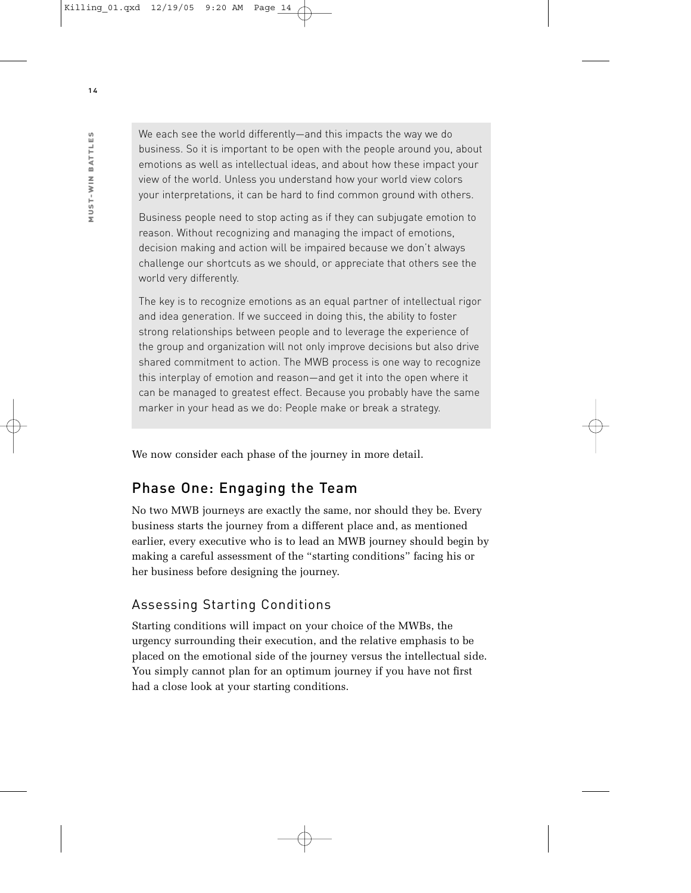We each see the world differently—and this impacts the way we do business. So it is important to be open with the people around you, about emotions as well as intellectual ideas, and about how these impact your view of the world. Unless you understand how your world view colors your interpretations, it can be hard to find common ground with others.

Business people need to stop acting as if they can subjugate emotion to reason. Without recognizing and managing the impact of emotions, decision making and action will be impaired because we don't always challenge our shortcuts as we should, or appreciate that others see the world very differently.

The key is to recognize emotions as an equal partner of intellectual rigor and idea generation. If we succeed in doing this, the ability to foster strong relationships between people and to leverage the experience of the group and organization will not only improve decisions but also drive shared commitment to action. The MWB process is one way to recognize this interplay of emotion and reason—and get it into the open where it can be managed to greatest effect. Because you probably have the same marker in your head as we do: People make or break a strategy.

We now consider each phase of the journey in more detail.

# Phase One: Engaging the Team

No two MWB journeys are exactly the same, nor should they be. Every business starts the journey from a different place and, as mentioned earlier, every executive who is to lead an MWB journey should begin by making a careful assessment of the "starting conditions" facing his or her business before designing the journey.

#### Assessing Starting Conditions

Starting conditions will impact on your choice of the MWBs, the urgency surrounding their execution, and the relative emphasis to be placed on the emotional side of the journey versus the intellectual side. You simply cannot plan for an optimum journey if you have not first had a close look at your starting conditions.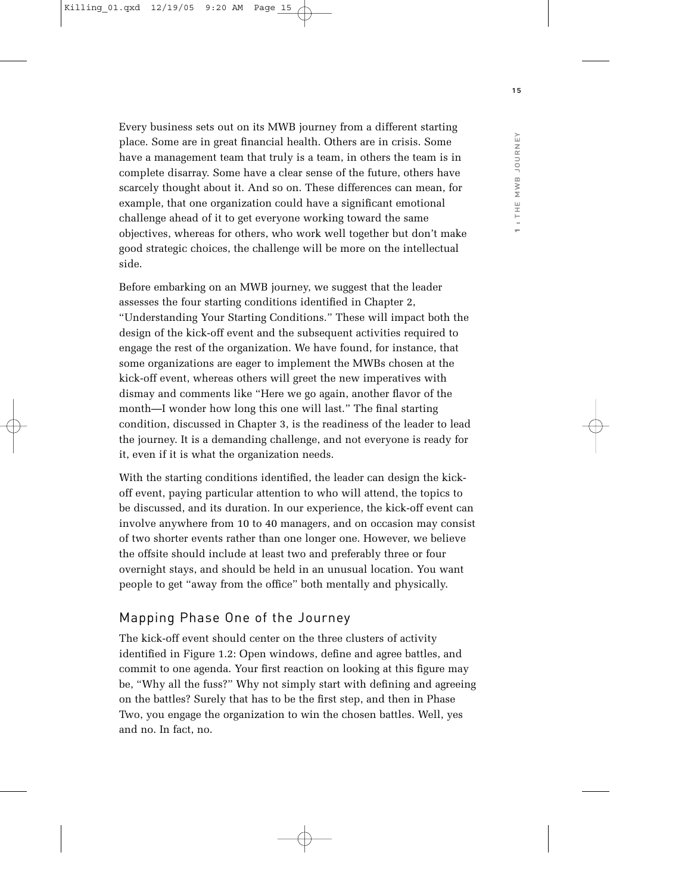Every business sets out on its MWB journey from a different starting place. Some are in great financial health. Others are in crisis. Some have a management team that truly is a team, in others the team is in complete disarray. Some have a clear sense of the future, others have scarcely thought about it. And so on. These differences can mean, for example, that one organization could have a significant emotional challenge ahead of it to get everyone working toward the same objectives, whereas for others, who work well together but don't make good strategic choices, the challenge will be more on the intellectual side.

Before embarking on an MWB journey, we suggest that the leader assesses the four starting conditions identified in Chapter 2, "Understanding Your Starting Conditions." These will impact both the design of the kick-off event and the subsequent activities required to engage the rest of the organization. We have found, for instance, that some organizations are eager to implement the MWBs chosen at the kick-off event, whereas others will greet the new imperatives with dismay and comments like "Here we go again, another flavor of the month—I wonder how long this one will last." The final starting condition, discussed in Chapter 3, is the readiness of the leader to lead the journey. It is a demanding challenge, and not everyone is ready for it, even if it is what the organization needs.

With the starting conditions identified, the leader can design the kickoff event, paying particular attention to who will attend, the topics to be discussed, and its duration. In our experience, the kick-off event can involve anywhere from 10 to 40 managers, and on occasion may consist of two shorter events rather than one longer one. However, we believe the offsite should include at least two and preferably three or four overnight stays, and should be held in an unusual location. You want people to get "away from the office" both mentally and physically.

#### Mapping Phase One of the Journey

The kick-off event should center on the three clusters of activity identified in Figure 1.2: Open windows, define and agree battles, and commit to one agenda. Your first reaction on looking at this figure may be, "Why all the fuss?" Why not simply start with defining and agreeing on the battles? Surely that has to be the first step, and then in Phase Two, you engage the organization to win the chosen battles. Well, yes and no. In fact, no.

15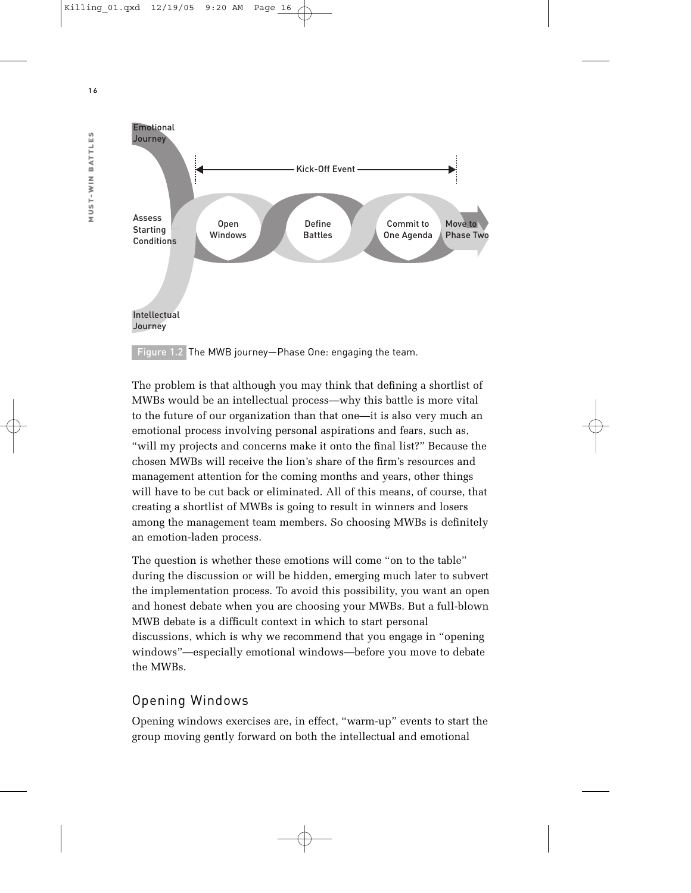16



Figure 1.2 The MWB journey-Phase One: engaging the team.

The problem is that although you may think that defining a shortlist of MWBs would be an intellectual process—why this battle is more vital to the future of our organization than that one—it is also very much an emotional process involving personal aspirations and fears, such as, "will my projects and concerns make it onto the final list?" Because the chosen MWBs will receive the lion's share of the firm's resources and management attention for the coming months and years, other things will have to be cut back or eliminated. All of this means, of course, that creating a shortlist of MWBs is going to result in winners and losers among the management team members. So choosing MWBs is definitely an emotion-laden process.

The question is whether these emotions will come "on to the table" during the discussion or will be hidden, emerging much later to subvert the implementation process. To avoid this possibility, you want an open and honest debate when you are choosing your MWBs. But a full-blown MWB debate is a difficult context in which to start personal discussions, which is why we recommend that you engage in "opening windows"—especially emotional windows—before you move to debate the MWBs.

#### Opening Windows

Opening windows exercises are, in effect, "warm-up" events to start the group moving gently forward on both the intellectual and emotional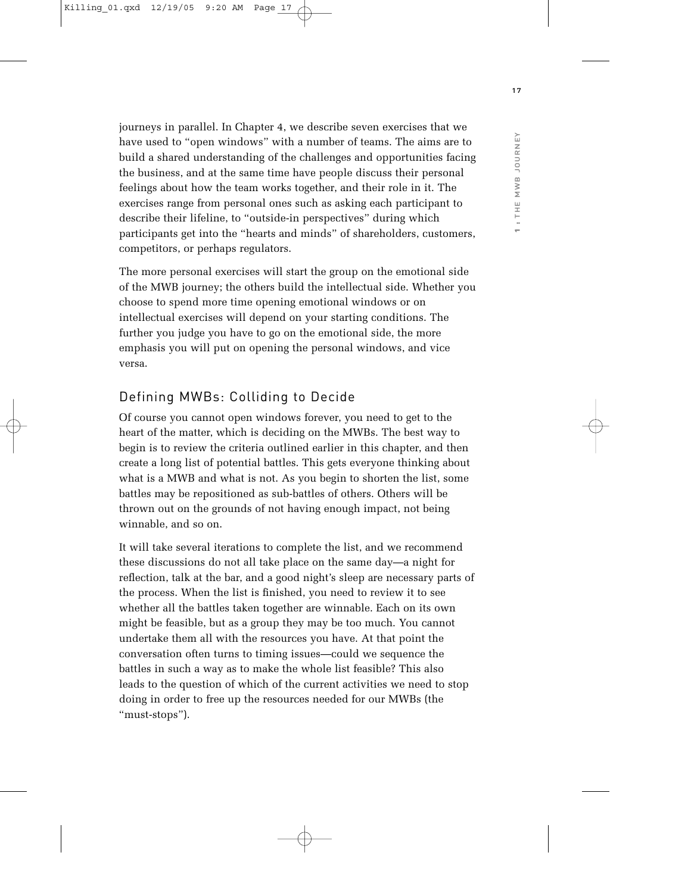journeys in parallel. In Chapter 4, we describe seven exercises that we have used to "open windows" with a number of teams. The aims are to build a shared understanding of the challenges and opportunities facing the business, and at the same time have people discuss their personal feelings about how the team works together, and their role in it. The exercises range from personal ones such as asking each participant to describe their lifeline, to "outside-in perspectives" during which participants get into the "hearts and minds" of shareholders, customers, competitors, or perhaps regulators.

The more personal exercises will start the group on the emotional side of the MWB journey; the others build the intellectual side. Whether you choose to spend more time opening emotional windows or on intellectual exercises will depend on your starting conditions. The further you judge you have to go on the emotional side, the more emphasis you will put on opening the personal windows, and vice versa.

#### Defining MWBs: Colliding to Decide

Of course you cannot open windows forever, you need to get to the heart of the matter, which is deciding on the MWBs. The best way to begin is to review the criteria outlined earlier in this chapter, and then create a long list of potential battles. This gets everyone thinking about what is a MWB and what is not. As you begin to shorten the list, some battles may be repositioned as sub-battles of others. Others will be thrown out on the grounds of not having enough impact, not being winnable, and so on.

It will take several iterations to complete the list, and we recommend these discussions do not all take place on the same day—a night for reflection, talk at the bar, and a good night's sleep are necessary parts of the process. When the list is finished, you need to review it to see whether all the battles taken together are winnable. Each on its own might be feasible, but as a group they may be too much. You cannot undertake them all with the resources you have. At that point the conversation often turns to timing issues—could we sequence the battles in such a way as to make the whole list feasible? This also leads to the question of which of the current activities we need to stop doing in order to free up the resources needed for our MWBs (the "must-stops").

17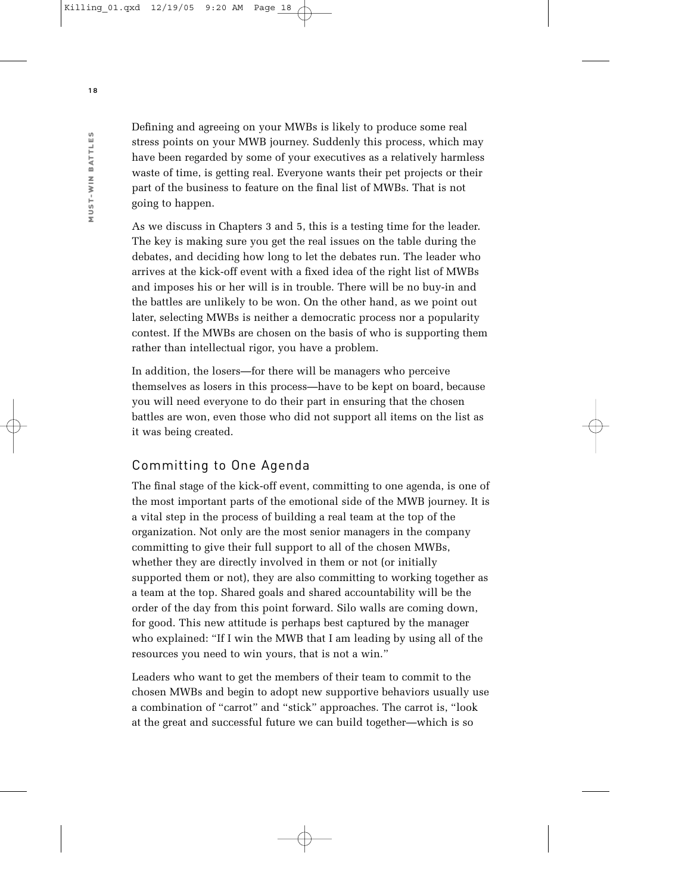Defining and agreeing on your MWBs is likely to produce some real stress points on your MWB journey. Suddenly this process, which may have been regarded by some of your executives as a relatively harmless waste of time, is getting real. Everyone wants their pet projects or their part of the business to feature on the final list of MWBs. That is not going to happen.

As we discuss in Chapters 3 and 5, this is a testing time for the leader. The key is making sure you get the real issues on the table during the debates, and deciding how long to let the debates run. The leader who arrives at the kick-off event with a fixed idea of the right list of MWBs and imposes his or her will is in trouble. There will be no buy-in and the battles are unlikely to be won. On the other hand, as we point out later, selecting MWBs is neither a democratic process nor a popularity contest. If the MWBs are chosen on the basis of who is supporting them rather than intellectual rigor, you have a problem.

In addition, the losers—for there will be managers who perceive themselves as losers in this process—have to be kept on board, because you will need everyone to do their part in ensuring that the chosen battles are won, even those who did not support all items on the list as it was being created.

#### Committing to One Agenda

The final stage of the kick-off event, committing to one agenda, is one of the most important parts of the emotional side of the MWB journey. It is a vital step in the process of building a real team at the top of the organization. Not only are the most senior managers in the company committing to give their full support to all of the chosen MWBs, whether they are directly involved in them or not (or initially supported them or not), they are also committing to working together as a team at the top. Shared goals and shared accountability will be the order of the day from this point forward. Silo walls are coming down, for good. This new attitude is perhaps best captured by the manager who explained: "If I win the MWB that I am leading by using all of the resources you need to win yours, that is not a win."

Leaders who want to get the members of their team to commit to the chosen MWBs and begin to adopt new supportive behaviors usually use a combination of "carrot" and "stick" approaches. The carrot is, "look at the great and successful future we can build together—which is so

18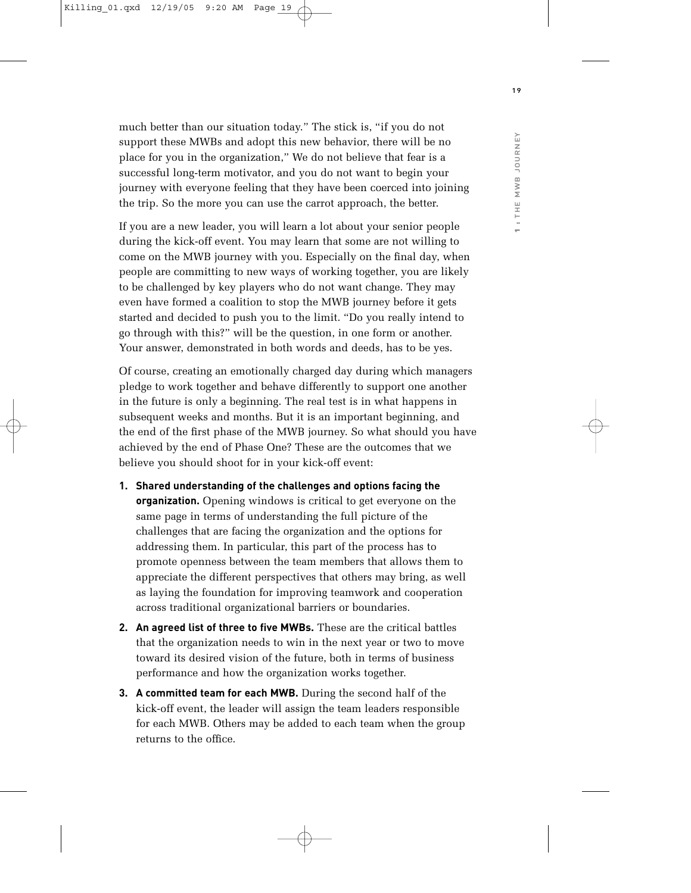much better than our situation today." The stick is, "if you do not support these MWBs and adopt this new behavior, there will be no place for you in the organization," We do not believe that fear is a successful long-term motivator, and you do not want to begin your journey with everyone feeling that they have been coerced into joining the trip. So the more you can use the carrot approach, the better.

If you are a new leader, you will learn a lot about your senior people during the kick-off event. You may learn that some are not willing to come on the MWB journey with you. Especially on the final day, when people are committing to new ways of working together, you are likely to be challenged by key players who do not want change. They may even have formed a coalition to stop the MWB journey before it gets started and decided to push you to the limit. "Do you really intend to go through with this?" will be the question, in one form or another. Your answer, demonstrated in both words and deeds, has to be yes.

Of course, creating an emotionally charged day during which managers pledge to work together and behave differently to support one another in the future is only a beginning. The real test is in what happens in subsequent weeks and months. But it is an important beginning, and the end of the first phase of the MWB journey. So what should you have achieved by the end of Phase One? These are the outcomes that we believe you should shoot for in your kick-off event:

- **1. Shared understanding of the challenges and options facing the organization.** Opening windows is critical to get everyone on the same page in terms of understanding the full picture of the challenges that are facing the organization and the options for addressing them. In particular, this part of the process has to promote openness between the team members that allows them to appreciate the different perspectives that others may bring, as well as laying the foundation for improving teamwork and cooperation across traditional organizational barriers or boundaries.
- **2. An agreed list of three to five MWBs.** These are the critical battles that the organization needs to win in the next year or two to move toward its desired vision of the future, both in terms of business performance and how the organization works together.
- **3. A committed team for each MWB.** During the second half of the kick-off event, the leader will assign the team leaders responsible for each MWB. Others may be added to each team when the group returns to the office.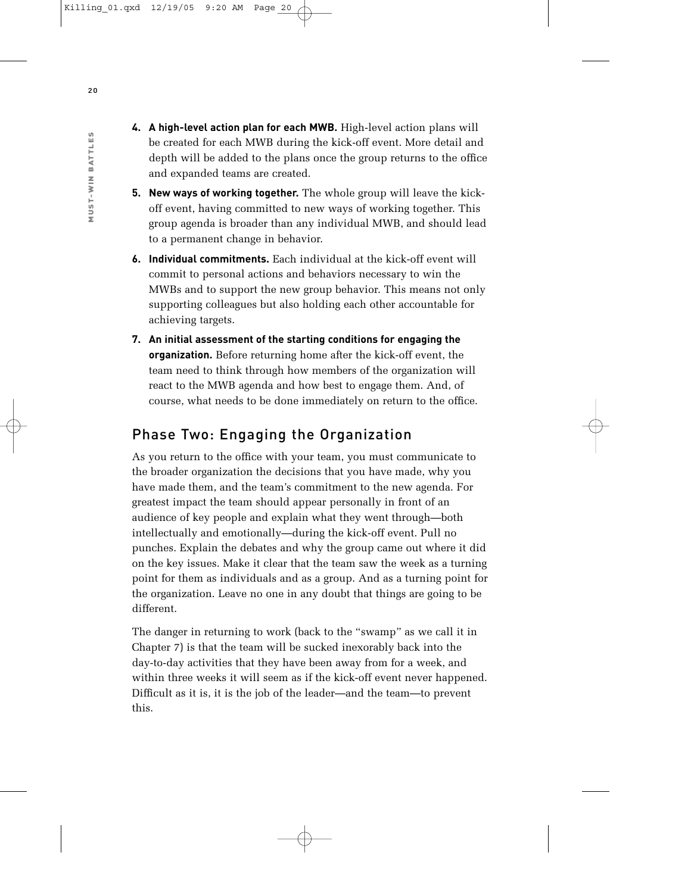- **4. A high-level action plan for each MWB.** High-level action plans will be created for each MWB during the kick-off event. More detail and depth will be added to the plans once the group returns to the office and expanded teams are created.
- **5. New ways of working together.** The whole group will leave the kickoff event, having committed to new ways of working together. This group agenda is broader than any individual MWB, and should lead to a permanent change in behavior.
- **6. Individual commitments.** Each individual at the kick-off event will commit to personal actions and behaviors necessary to win the MWBs and to support the new group behavior. This means not only supporting colleagues but also holding each other accountable for achieving targets.
- **7. An initial assessment of the starting conditions for engaging the organization.** Before returning home after the kick-off event, the team need to think through how members of the organization will react to the MWB agenda and how best to engage them. And, of course, what needs to be done immediately on return to the office.

#### Phase Two: Engaging the Organization

As you return to the office with your team, you must communicate to the broader organization the decisions that you have made, why you have made them, and the team's commitment to the new agenda. For greatest impact the team should appear personally in front of an audience of key people and explain what they went through—both intellectually and emotionally—during the kick-off event. Pull no punches. Explain the debates and why the group came out where it did on the key issues. Make it clear that the team saw the week as a turning point for them as individuals and as a group. And as a turning point for the organization. Leave no one in any doubt that things are going to be different.

The danger in returning to work (back to the "swamp" as we call it in Chapter 7) is that the team will be sucked inexorably back into the day-to-day activities that they have been away from for a week, and within three weeks it will seem as if the kick-off event never happened. Difficult as it is, it is the job of the leader—and the team—to prevent this.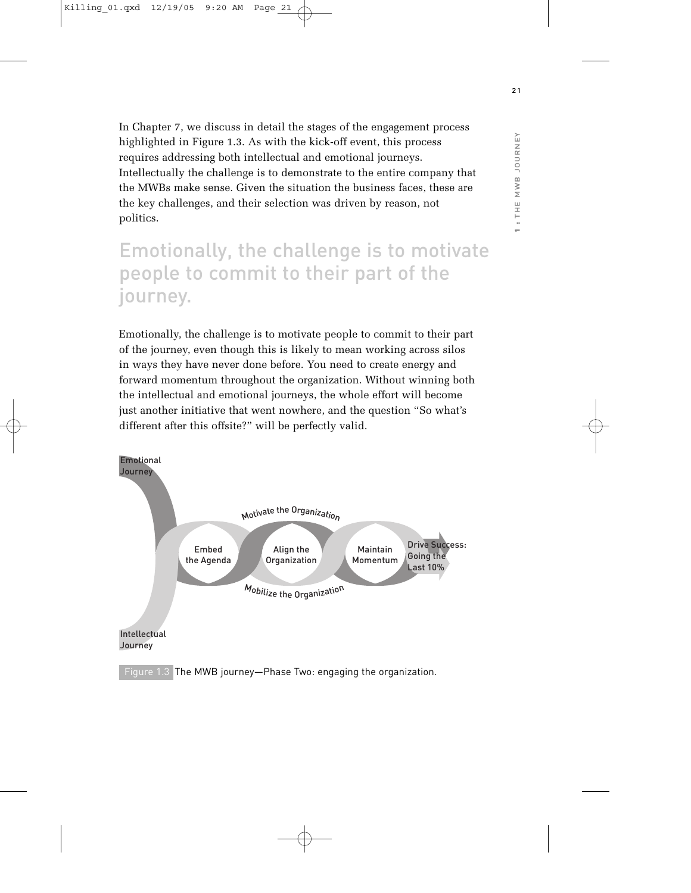In Chapter 7, we discuss in detail the stages of the engagement process highlighted in Figure 1.3. As with the kick-off event, this process requires addressing both intellectual and emotional journeys. Intellectually the challenge is to demonstrate to the entire company that the MWBs make sense. Given the situation the business faces, these are the key challenges, and their selection was driven by reason, not politics.

# Emotionally, the challenge is to motivate people to commit to their part of the journey.

Emotionally, the challenge is to motivate people to commit to their part of the journey, even though this is likely to mean working across silos in ways they have never done before. You need to create energy and forward momentum throughout the organization. Without winning both the intellectual and emotional journeys, the whole effort will become just another initiative that went nowhere, and the question "So what's different after this offsite?" will be perfectly valid.



Figure 1.3 The MWB journey—Phase Two: engaging the organization.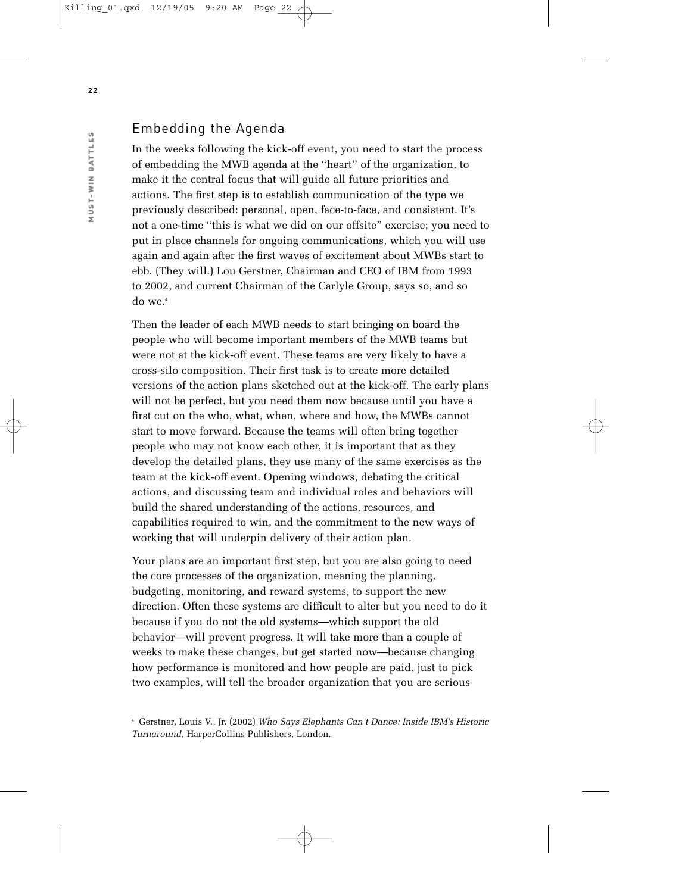#### Embedding the Agenda

In the weeks following the kick-off event, you need to start the process of embedding the MWB agenda at the "heart" of the organization, to make it the central focus that will guide all future priorities and actions. The first step is to establish communication of the type we previously described: personal, open, face-to-face, and consistent. It's not a one-time "this is what we did on our offsite" exercise; you need to put in place channels for ongoing communications, which you will use again and again after the first waves of excitement about MWBs start to ebb. (They will.) Lou Gerstner, Chairman and CEO of IBM from 1993 to 2002, and current Chairman of the Carlyle Group, says so, and so do we.4

Then the leader of each MWB needs to start bringing on board the people who will become important members of the MWB teams but were not at the kick-off event. These teams are very likely to have a cross-silo composition. Their first task is to create more detailed versions of the action plans sketched out at the kick-off. The early plans will not be perfect, but you need them now because until you have a first cut on the who, what, when, where and how, the MWBs cannot start to move forward. Because the teams will often bring together people who may not know each other, it is important that as they develop the detailed plans, they use many of the same exercises as the team at the kick-off event. Opening windows, debating the critical actions, and discussing team and individual roles and behaviors will build the shared understanding of the actions, resources, and capabilities required to win, and the commitment to the new ways of working that will underpin delivery of their action plan.

Your plans are an important first step, but you are also going to need the core processes of the organization, meaning the planning, budgeting, monitoring, and reward systems, to support the new direction. Often these systems are difficult to alter but you need to do it because if you do not the old systems—which support the old behavior—will prevent progress. It will take more than a couple of weeks to make these changes, but get started now—because changing how performance is monitored and how people are paid, just to pick two examples, will tell the broader organization that you are serious

<sup>4</sup> Gerstner, Louis V., Jr. (2002) *Who Says Elephants Can't Dance: Inside IBM's Historic Turnaround*, HarperCollins Publishers, London.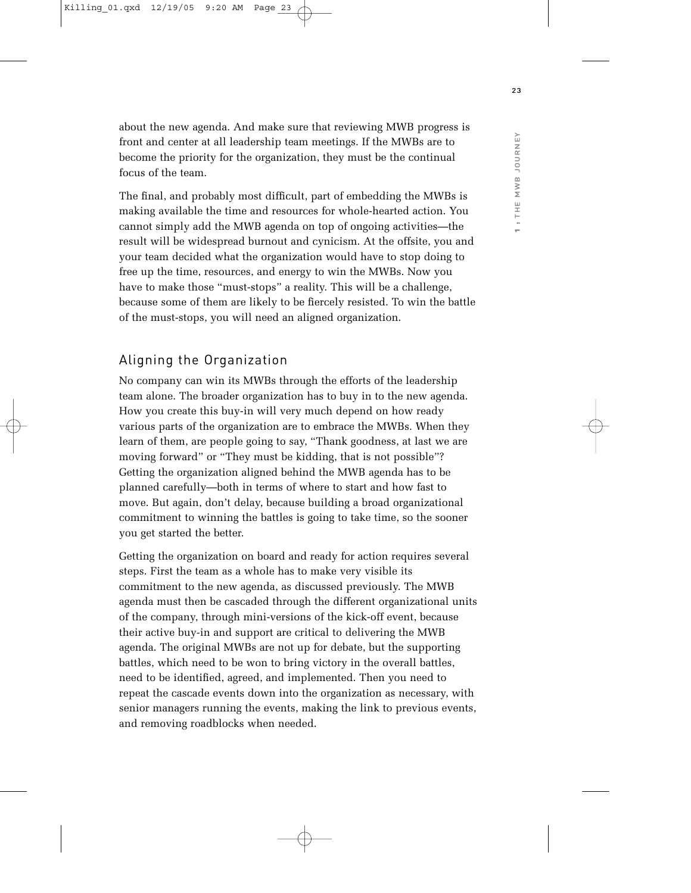about the new agenda. And make sure that reviewing MWB progress is front and center at all leadership team meetings. If the MWBs are to become the priority for the organization, they must be the continual focus of the team.

The final, and probably most difficult, part of embedding the MWBs is making available the time and resources for whole-hearted action. You cannot simply add the MWB agenda on top of ongoing activities—the result will be widespread burnout and cynicism. At the offsite, you and your team decided what the organization would have to stop doing to free up the time, resources, and energy to win the MWBs. Now you have to make those "must-stops" a reality. This will be a challenge, because some of them are likely to be fiercely resisted. To win the battle of the must-stops, you will need an aligned organization.

#### Aligning the Organization

No company can win its MWBs through the efforts of the leadership team alone. The broader organization has to buy in to the new agenda. How you create this buy-in will very much depend on how ready various parts of the organization are to embrace the MWBs. When they learn of them, are people going to say, "Thank goodness, at last we are moving forward" or "They must be kidding, that is not possible"? Getting the organization aligned behind the MWB agenda has to be planned carefully—both in terms of where to start and how fast to move. But again, don't delay, because building a broad organizational commitment to winning the battles is going to take time, so the sooner you get started the better.

Getting the organization on board and ready for action requires several steps. First the team as a whole has to make very visible its commitment to the new agenda, as discussed previously. The MWB agenda must then be cascaded through the different organizational units of the company, through mini-versions of the kick-off event, because their active buy-in and support are critical to delivering the MWB agenda. The original MWBs are not up for debate, but the supporting battles, which need to be won to bring victory in the overall battles, need to be identified, agreed, and implemented. Then you need to repeat the cascade events down into the organization as necessary, with senior managers running the events, making the link to previous events, and removing roadblocks when needed.

23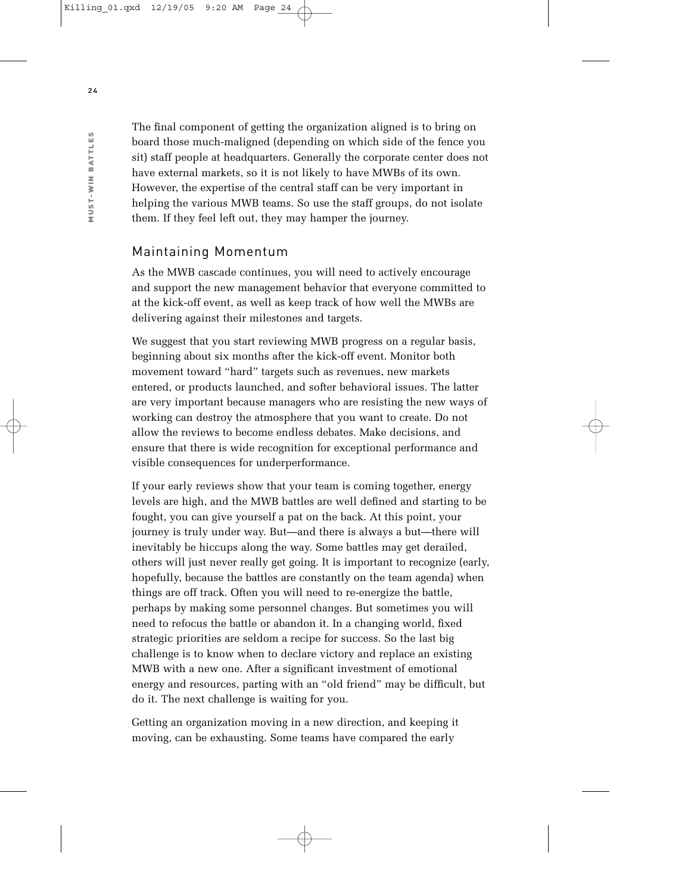**MUST-WIN BATTLES** 

The final component of getting the organization aligned is to bring on board those much-maligned (depending on which side of the fence you sit) staff people at headquarters. Generally the corporate center does not have external markets, so it is not likely to have MWBs of its own. However, the expertise of the central staff can be very important in helping the various MWB teams. So use the staff groups, do not isolate them. If they feel left out, they may hamper the journey.

#### Maintaining Momentum

As the MWB cascade continues, you will need to actively encourage and support the new management behavior that everyone committed to at the kick-off event, as well as keep track of how well the MWBs are delivering against their milestones and targets.

We suggest that you start reviewing MWB progress on a regular basis, beginning about six months after the kick-off event. Monitor both movement toward "hard" targets such as revenues, new markets entered, or products launched, and softer behavioral issues. The latter are very important because managers who are resisting the new ways of working can destroy the atmosphere that you want to create. Do not allow the reviews to become endless debates. Make decisions, and ensure that there is wide recognition for exceptional performance and visible consequences for underperformance.

If your early reviews show that your team is coming together, energy levels are high, and the MWB battles are well defined and starting to be fought, you can give yourself a pat on the back. At this point, your journey is truly under way. But—and there is always a but—there will inevitably be hiccups along the way. Some battles may get derailed, others will just never really get going. It is important to recognize (early, hopefully, because the battles are constantly on the team agenda) when things are off track. Often you will need to re-energize the battle, perhaps by making some personnel changes. But sometimes you will need to refocus the battle or abandon it. In a changing world, fixed strategic priorities are seldom a recipe for success. So the last big challenge is to know when to declare victory and replace an existing MWB with a new one. After a significant investment of emotional energy and resources, parting with an "old friend" may be difficult, but do it. The next challenge is waiting for you.

Getting an organization moving in a new direction, and keeping it moving, can be exhausting. Some teams have compared the early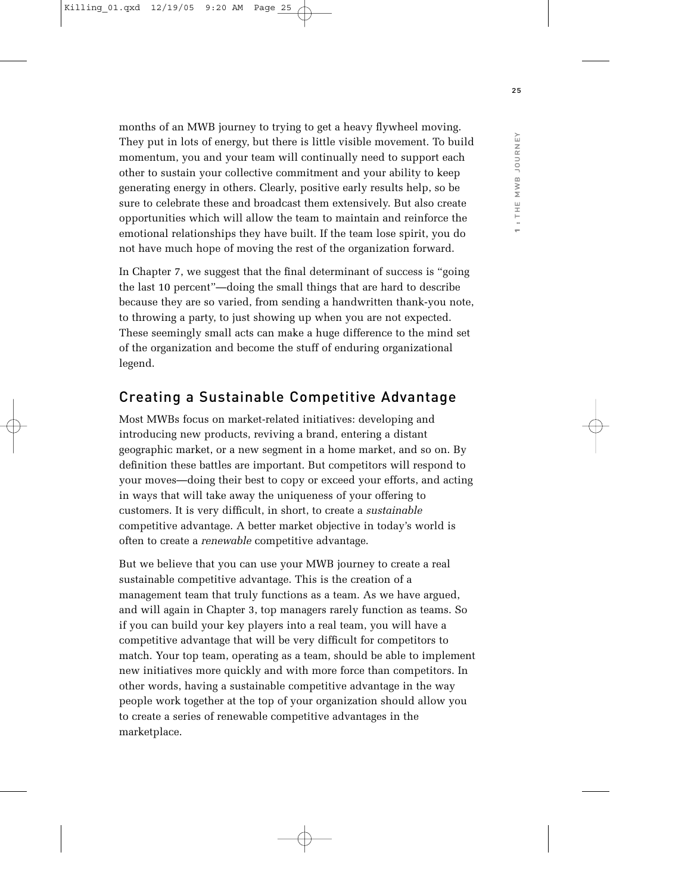months of an MWB journey to trying to get a heavy flywheel moving. They put in lots of energy, but there is little visible movement. To build momentum, you and your team will continually need to support each other to sustain your collective commitment and your ability to keep generating energy in others. Clearly, positive early results help, so be sure to celebrate these and broadcast them extensively. But also create opportunities which will allow the team to maintain and reinforce the emotional relationships they have built. If the team lose spirit, you do not have much hope of moving the rest of the organization forward.

In Chapter 7, we suggest that the final determinant of success is "going the last 10 percent"—doing the small things that are hard to describe because they are so varied, from sending a handwritten thank-you note, to throwing a party, to just showing up when you are not expected. These seemingly small acts can make a huge difference to the mind set of the organization and become the stuff of enduring organizational legend.

#### Creating a Sustainable Competitive Advantage

Most MWBs focus on market-related initiatives: developing and introducing new products, reviving a brand, entering a distant geographic market, or a new segment in a home market, and so on. By definition these battles are important. But competitors will respond to your moves—doing their best to copy or exceed your efforts, and acting in ways that will take away the uniqueness of your offering to customers. It is very difficult, in short, to create a *sustainable* competitive advantage. A better market objective in today's world is often to create a *renewable* competitive advantage.

But we believe that you can use your MWB journey to create a real sustainable competitive advantage. This is the creation of a management team that truly functions as a team. As we have argued, and will again in Chapter 3, top managers rarely function as teams. So if you can build your key players into a real team, you will have a competitive advantage that will be very difficult for competitors to match. Your top team, operating as a team, should be able to implement new initiatives more quickly and with more force than competitors. In other words, having a sustainable competitive advantage in the way people work together at the top of your organization should allow you to create a series of renewable competitive advantages in the marketplace.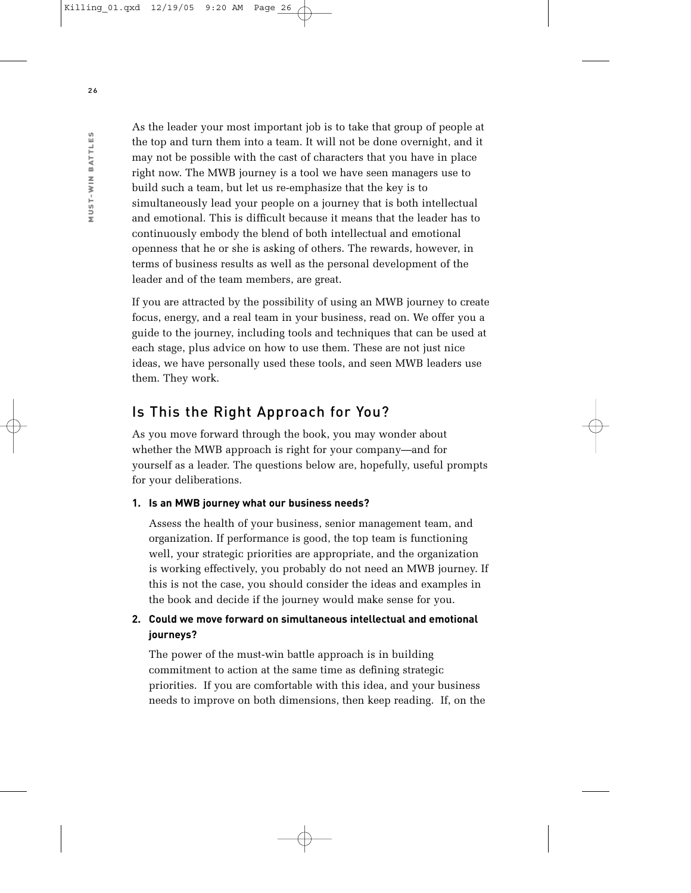As the leader your most important job is to take that group of people at the top and turn them into a team. It will not be done overnight, and it may not be possible with the cast of characters that you have in place right now. The MWB journey is a tool we have seen managers use to build such a team, but let us re-emphasize that the key is to simultaneously lead your people on a journey that is both intellectual and emotional. This is difficult because it means that the leader has to continuously embody the blend of both intellectual and emotional openness that he or she is asking of others. The rewards, however, in terms of business results as well as the personal development of the leader and of the team members, are great.

If you are attracted by the possibility of using an MWB journey to create focus, energy, and a real team in your business, read on. We offer you a guide to the journey, including tools and techniques that can be used at each stage, plus advice on how to use them. These are not just nice ideas, we have personally used these tools, and seen MWB leaders use them. They work.

# Is This the Right Approach for You?

As you move forward through the book, you may wonder about whether the MWB approach is right for your company—and for yourself as a leader. The questions below are, hopefully, useful prompts for your deliberations.

#### **1. Is an MWB journey what our business needs?**

Assess the health of your business, senior management team, and organization. If performance is good, the top team is functioning well, your strategic priorities are appropriate, and the organization is working effectively, you probably do not need an MWB journey. If this is not the case, you should consider the ideas and examples in the book and decide if the journey would make sense for you.

#### **2. Could we move forward on simultaneous intellectual and emotional journeys?**

The power of the must-win battle approach is in building commitment to action at the same time as defining strategic priorities. If you are comfortable with this idea, and your business needs to improve on both dimensions, then keep reading. If, on the

**MUST-WIN BATTLES**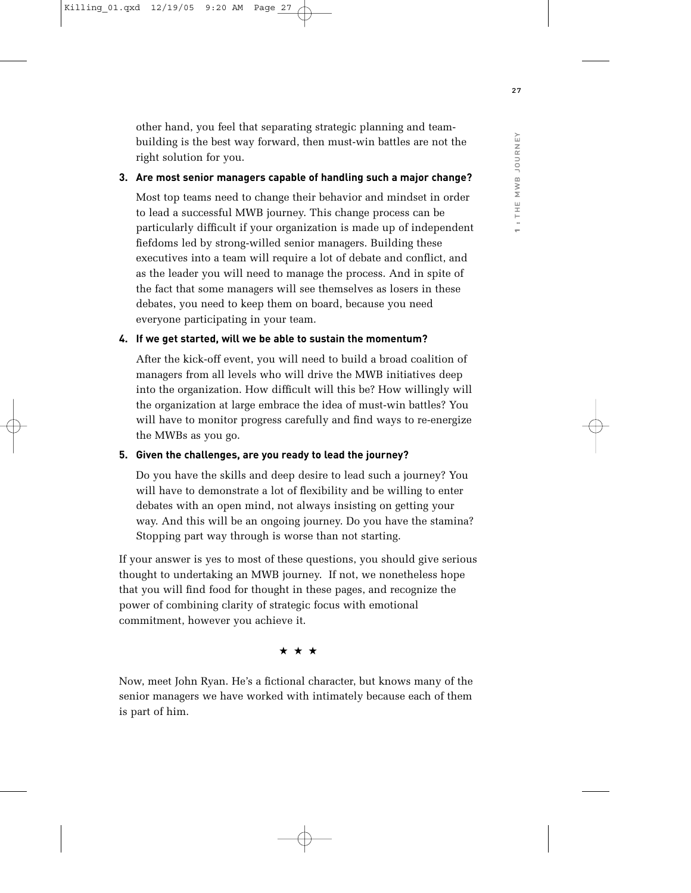other hand, you feel that separating strategic planning and teambuilding is the best way forward, then must-win battles are not the right solution for you.

#### **3. Are most senior managers capable of handling such a major change?**

Most top teams need to change their behavior and mindset in order to lead a successful MWB journey. This change process can be particularly difficult if your organization is made up of independent fiefdoms led by strong-willed senior managers. Building these executives into a team will require a lot of debate and conflict, and as the leader you will need to manage the process. And in spite of the fact that some managers will see themselves as losers in these debates, you need to keep them on board, because you need everyone participating in your team.

#### **4. If we get started, will we be able to sustain the momentum?**

After the kick-off event, you will need to build a broad coalition of managers from all levels who will drive the MWB initiatives deep into the organization. How difficult will this be? How willingly will the organization at large embrace the idea of must-win battles? You will have to monitor progress carefully and find ways to re-energize the MWBs as you go.

#### **5. Given the challenges, are you ready to lead the journey?**

Do you have the skills and deep desire to lead such a journey? You will have to demonstrate a lot of flexibility and be willing to enter debates with an open mind, not always insisting on getting your way. And this will be an ongoing journey. Do you have the stamina? Stopping part way through is worse than not starting.

If your answer is yes to most of these questions, you should give serious thought to undertaking an MWB journey. If not, we nonetheless hope that you will find food for thought in these pages, and recognize the power of combining clarity of strategic focus with emotional commitment, however you achieve it.

★★★

Now, meet John Ryan. He's a fictional character, but knows many of the senior managers we have worked with intimately because each of them is part of him.